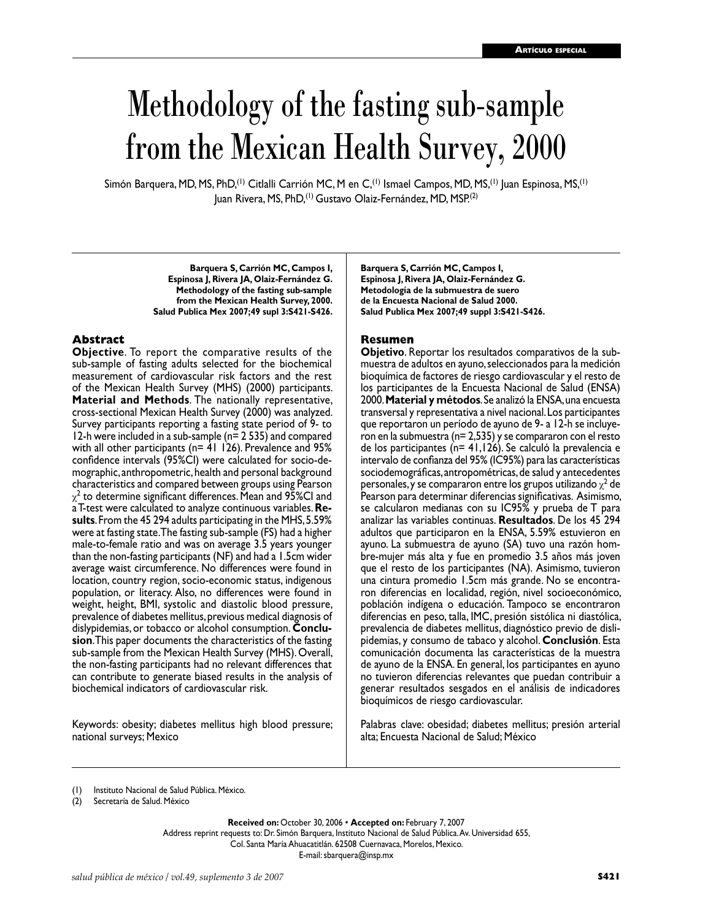# Methodology of the fasting sub-sample from the Mexican Health Survey, 2000

Simón Barquera, MD, MS, PhD,(1) Citlalli Carrión MC, M en C,(1) Ismael Campos, MD, MS,(1) Juan Espinosa, MS,(1) Juan Rivera, MS, PhD,<sup>(1)</sup> Gustavo Olaiz-Fernández, MD, MSP.<sup>(2)</sup>

> **Barquera S, Carrión MC, Campos I, Espinosa J, Rivera JA, Olaiz-Fernández G. Methodology of the fasting sub-sample from the Mexican Health Survey, 2000. Salud Publica Mex 2007;49 supl 3:S421-S426.**

#### **Abstract**

**Objective**. To report the comparative results of the sub-sample of fasting adults selected for the biochemical measurement of cardiovascular risk factors and the rest of the Mexican Health Survey (MHS) (2000) participants. **Material and Methods**. The nationally representative, cross-sectional Mexican Health Survey (2000) was analyzed. Survey participants reporting a fasting state period of 9- to 12-h were included in a sub-sample (n= 2 535) and compared with all other participants (n= 41 126). Prevalence and 95% confidence intervals (95%CI) were calculated for socio-de mographic, anthropometric, health and personal background characteristics and compared between groups using Pearson  $\chi^2$  to determine significant differences. Mean and 95%CI and a T-test were calculated to analyze continuous variables. **Re sults**. From the 45 294 adults participating in the MHS, 5.59% were at fasting state. The fasting sub-sample (FS) had a higher male-to-female ratio and was on average 3.5 years younger than the non-fasting participants (NF) and had a 1.5cm wider average waist circumference. No differences were found in location, country region, socio-economic status, indigenous population, or literacy. Also, no differences were found in weight, height, BMI, systolic and diastolic blood pressure, prevalence of diabetes mellitus, previous medical diagnosis of dislypidemias, or tobacco or alcohol consumption. **Conclusion**. This paper documents the characteristics of the fasting sub-sample from the Mexican Health Survey (MHS). Overall, the non-fasting participants had no relevant differences that can contribute to generate biased results in the analysis of biochemical indicators of cardiovascular risk.

Keywords: obesity; diabetes mellitus high blood pressure; national surveys; Mexico

**Barquera S, Carrión MC, Campos I, Espinosa J, Rivera JA, Olaiz-Fernández G. Metodología de la submuestra de suero de la Encuesta Nacional de Salud 2000. Salud Publica Mex 2007;49 suppl 3:S421-S426.**

#### **Resumen**

**Objetivo**. Reportar los resultados comparativos de la submuestra de adultos en ayuno, seleccionados para la medición bioquímica de factores de riesgo cardiovascular y el resto de los participantes de la Encuesta Nacional de Salud (ENSA) 2000. **Material y métodos**. Se analizó la ENSA, una encuesta transversal y representativa a nivel nacional. Los participantes que reportaron un período de ayuno de 9- a 12-h se incluye ron en la submuestra (n= 2,535) y se compararon con el resto de los participantes (n= 41,126). Se calculó la prevalencia e intervalo de confianza del 95% (IC95%) para las características sociodemográficas, antropométricas, de salud y antecedentes personales, y se compararon entre los grupos utilizando  $\chi^2$  de Pearson para determinar diferencias significativas. Asimismo, se calcularon medianas con su IC95% y prueba de T para analizar las variables continuas. **Resultados**. De los 45 294 adultos que participaron en la ENSA, 5.59% estuvieron en ayuno. La submuestra de ayuno (SA) tuvo una razón hom bre-mujer más alta y fue en promedio 3.5 años más joven que el resto de los participantes (NA). Asimismo, tuvieron una cintura promedio 1.5cm más grande. No se encontra ron diferencias en localidad, región, nivel socioeconómico, población indígena o educación. Tampoco se encontraron diferencias en peso, talla, IMC, presión sistólica ni diastólica, prevalencia de diabetes mellitus, diagnóstico previo de dislipidemias, y consumo de tabaco y alcohol. **Conclusión**. Esta comunicación documenta las características de la muestra de ayuno de la ENSA. En general, los participantes en ayuno no tuvieron diferencias relevantes que puedan contribuir a generar resultados sesgados en el análisis de indicadores bioquímicos de riesgo cardiovascular.

Palabras clave: obesidad; diabetes mellitus; presión arterial alta; Encuesta Nacional de Salud; México

**Received on:** October 30, 2006 • **Accepted on:** February 7, 2007

Address reprint requests to: Dr. Simón Barquera, Instituto Nacional de Salud Pública. Av. Universidad 655, Col. Santa María Ahuacatitlán. 62508 Cuernavaca, Morelos, Mexico.

E-mail: sbarquera@insp.mx

<sup>(1)</sup> Instituto Nacional de Salud Pública. México.

<sup>(2)</sup> Secretaría de Salud. México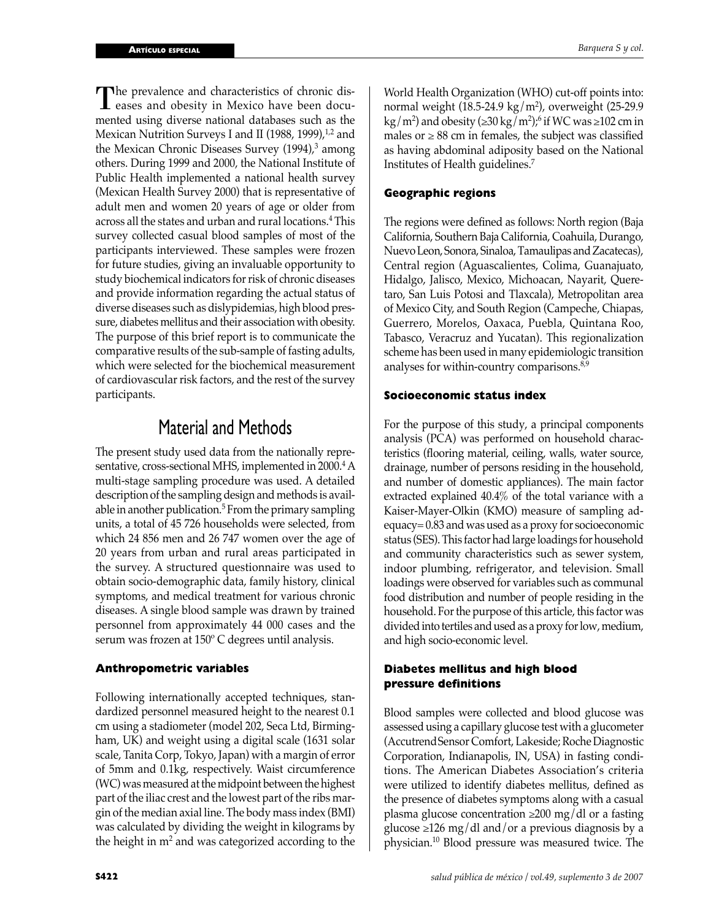The prevalence and characteristics of chronic diseases and obesity in Mexico have been documented using diverse national databases such as the Mexican Nutrition Surveys I and II (1988, 1999), $1/2$  and the Mexican Chronic Diseases Survey (1994),<sup>3</sup> among others. During 1999 and 2000, the National Institute of Public Health implemented a national health survey (Mexican Health Survey 2000) that is representative of adult men and women 20 years of age or older from across all the states and urban and rural locations.<sup>4</sup> This survey collected casual blood samples of most of the participants interviewed. These samples were frozen for future studies, giving an invaluable opportunity to study biochemical indicators for risk of chronic diseases and provide information regarding the actual status of diverse diseases such as dislypidemias, high blood pressure, diabetes mellitus and their association with obesity. The purpose of this brief report is to communicate the comparative results of the sub-sample of fasting adults, which were selected for the biochemical measurement of cardiovascular risk factors, and the rest of the survey participants.

# Material and Methods

The present study used data from the nationally representative, cross-sectional MHS, implemented in 2000.<sup>4</sup> A multi-stage sampling procedure was used. A detailed description of the sampling design and methods is available in another publication.<sup>5</sup> From the primary sampling units, a total of 45 726 households were selected, from which 24 856 men and 26 747 women over the age of 20 years from urban and rural areas participated in the survey. A structured questionnaire was used to obtain socio-demographic data, family history, clinical symptoms, and medical treatment for various chronic diseases. A single blood sample was drawn by trained personnel from approximately 44 000 cases and the serum was frozen at 150º C degrees until analysis.

### **Anthropometric variables**

Following internationally accepted techniques, standardized personnel measured height to the nearest 0.1 cm using a stadiometer (model 202, Seca Ltd, Birmingham, UK) and weight using a digital scale (1631 solar scale, Tanita Corp, Tokyo, Japan) with a margin of error of 5mm and 0.1kg, respectively. Waist circumference (WC) was measured at the midpoint between the highest part of the iliac crest and the lowest part of the ribs margin of the median axial line. The body mass index (BMI) was calculated by dividing the weight in kilograms by the height in  $m^2$  and was categorized according to the

World Health Organization (WHO) cut-off points into: normal weight (18.5-24.9 kg/m<sup>2</sup>), overweight (25-29.9  $\text{kg/m}^2$ ) and obesity ( $\geq 30 \text{ kg/m}^2$ );<sup>6</sup> if WC was  $\geq 102 \text{ cm in}$ males or  $\geq$  88 cm in females, the subject was classified as having abdominal adiposity based on the National Institutes of Health guidelines.<sup>7</sup>

## **Geographic regions**

The regions were defined as follows: North region (Baja California, Southern Baja California, Coahuila, Durango, Nuevo Leon, Sonora, Sinaloa, Tamaulipas and Zacatecas), Central region (Aguascalientes, Colima, Guanajuato, Hidalgo, Jalisco, Mexico, Michoacan, Nayarit, Queretaro, San Luis Potosi and Tlaxcala), Metropolitan area of Mexico City, and South Region (Campeche, Chiapas, Guerrero, Morelos, Oaxaca, Puebla, Quintana Roo, Tabasco, Veracruz and Yucatan). This regionalization scheme has been used in many epidemiologic transition analyses for within-country comparisons.<sup>8,9</sup>

### **Socioeconomic status index**

For the purpose of this study, a principal components analysis (PCA) was performed on household characteristics (flooring material, ceiling, walls, water source, drainage, number of persons residing in the household, and number of domestic appliances). The main factor extracted explained 40.4% of the total variance with a Kaiser-Mayer-Olkin (KMO) measure of sampling adequacy= 0.83 and was used as a proxy for socioeconomic status (SES). This factor had large loadings for household and community characteristics such as sewer system, indoor plumbing, refrigerator, and television. Small loadings were observed for variables such as communal food distribution and number of people residing in the household. For the purpose of this article, this factor was divided into tertiles and used as a proxy for low, medium, and high socio-economic level.

# **Diabetes mellitus and high blood pressure definitions**

Blood samples were collected and blood glucose was assessed using a capillary glucose test with a glucometer (AccutrendSensor Comfort, Lakeside; Roche Diagnostic Corporation, Indianapolis, IN, USA) in fasting conditions. The American Diabetes Association's criteria were utilized to identify diabetes mellitus, defined as the presence of diabetes symptoms along with a casual plasma glucose concentration  $\geq 200$  mg/dl or a fasting glucose ≥126 mg/dl and/or a previous diagnosis by a physician.10 Blood pressure was measured twice. The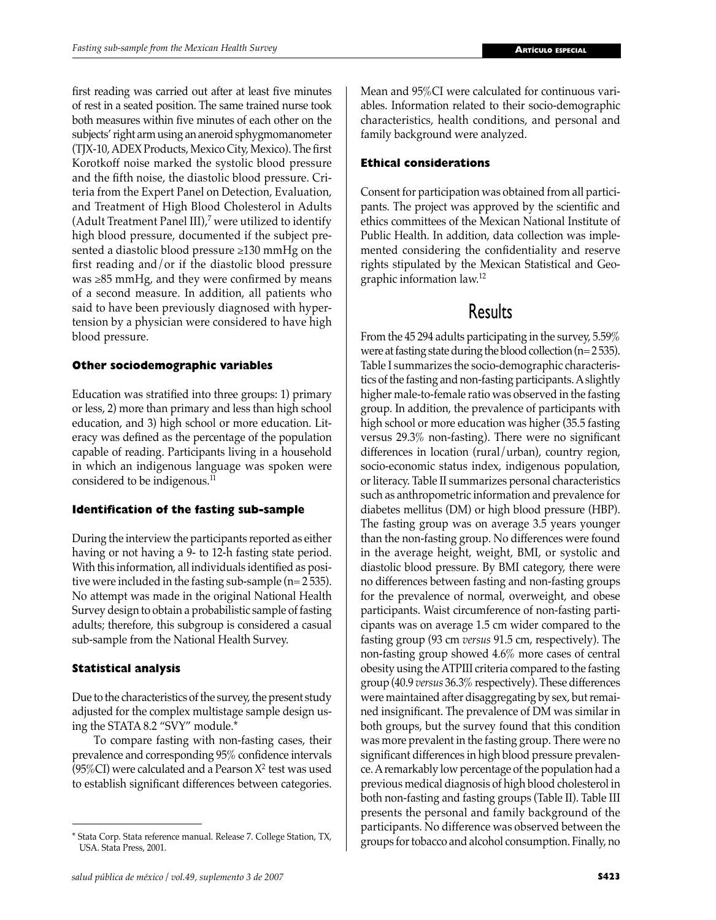first reading was carried out after at least five minutes of rest in a seated position. The same trained nurse took both measures within five minutes of each other on the subjects' right arm using an aneroid sphygmomanometer (TJX-10, ADEX Products, Mexico City, Mexico). The first Korotkoff noise marked the systolic blood pressure and the fifth noise, the diastolic blood pressure. Criteria from the Expert Panel on Detection, Evaluation, and Treatment of High Blood Cholesterol in Adults (Adult Treatment Panel III),<sup>7</sup> were utilized to identify high blood pressure, documented if the subject presented a diastolic blood pressure ≥130 mmHg on the first reading and/or if the diastolic blood pressure was ≥85 mmHg, and they were confirmed by means of a second measure. In addition, all patients who said to have been previously diagnosed with hypertension by a physician were considered to have high blood pressure.

# **Other sociodemographic variables**

Education was stratified into three groups: 1) primary or less, 2) more than primary and less than high school education, and 3) high school or more education. Literacy was defined as the percentage of the population capable of reading. Participants living in a household in which an indigenous language was spoken were considered to be indigenous.<sup>11</sup>

# **Identification of the fasting sub-sample**

During the interview the participants reported as either having or not having a 9- to 12-h fasting state period. With this information, all individuals identified as positive were included in the fasting sub-sample (n= 2 535). No attempt was made in the original National Health Survey design to obtain a probabilistic sample of fasting adults; therefore, this subgroup is considered a casual sub-sample from the National Health Survey.

# **Statistical analysis**

Due to the characteristics of the survey, the present study adjusted for the complex multistage sample design using the STATA 8.2 "SVY" module.\*

 To compare fasting with non-fasting cases, their prevalence and corresponding 95% confidence intervals  $(95\%CI)$  were calculated and a Pearson  $X^2$  test was used to establish significant differences between categories.

Mean and 95%CI were calculated for continuous variables. Information related to their socio-demographic characteristics, health conditions, and personal and family background were analyzed.

# **Ethical considerations**

Consent for participation was obtained from all participants. The project was approved by the scientific and ethics committees of the Mexican National Institute of Public Health. In addition, data collection was implemented considering the confidentiality and reserve rights stipulated by the Mexican Statistical and Geographic information law.<sup>12</sup>

# Results

From the 45 294 adults participating in the survey, 5.59% were at fasting state during the blood collection (n= 2 535). Table I summarizes the socio-demographic characteristics of the fasting and non-fasting participants. A slightly higher male-to-female ratio was observed in the fasting group. In addition, the prevalence of participants with high school or more education was higher (35.5 fasting versus 29.3% non-fasting). There were no significant differences in location (rural/urban), country region, socio-economic status index, indigenous population, or literacy. Table II summarizes personal characteristics such as anthropometric information and prevalence for diabetes mellitus (DM) or high blood pressure (HBP). The fasting group was on average 3.5 years younger than the non-fasting group. No differences were found in the average height, weight, BMI, or systolic and diastolic blood pressure. By BMI category, there were no differences between fasting and non-fasting groups for the prevalence of normal, overweight, and obese participants. Waist circumference of non-fasting participants was on average 1.5 cm wider compared to the fasting group (93 cm *versus* 91.5 cm, respectively). The non-fasting group showed 4.6% more cases of central obesity using the ATPIII criteria compared to the fasting group (40.9 *versus* 36.3% respectively). These differences were maintained after disaggregating by sex, but remained insignificant. The prevalence of DM was similar in both groups, but the survey found that this condition was more prevalent in the fasting group. There were no significant differences in high blood pressure prevalence. A remarkably low percentage of the population had a previous medical diagnosis of high blood cholesterol in both non-fasting and fasting groups (Table II). Table III presents the personal and family background of the participants. No difference was observed between the

<sup>\*</sup> Stata Corp. Stata reference manual. Release 7. College Station, TX,  $\begin{array}{c|c} \rightarrow \text{groups} \quad \text{for} \quad \text{to} \quad \text{or} \quad \text{or} \quad \text{or} \quad \text{or} \quad \text{or} \quad \text{or} \quad \text{or} \quad \text{or} \quad \text{or} \quad \text{or} \quad \text{or} \quad \text{or} \quad \text{or} \quad \text{or} \quad \text{or} \quad \text{or} \quad \text{or} \quad$ USA. Stata Press, 2001.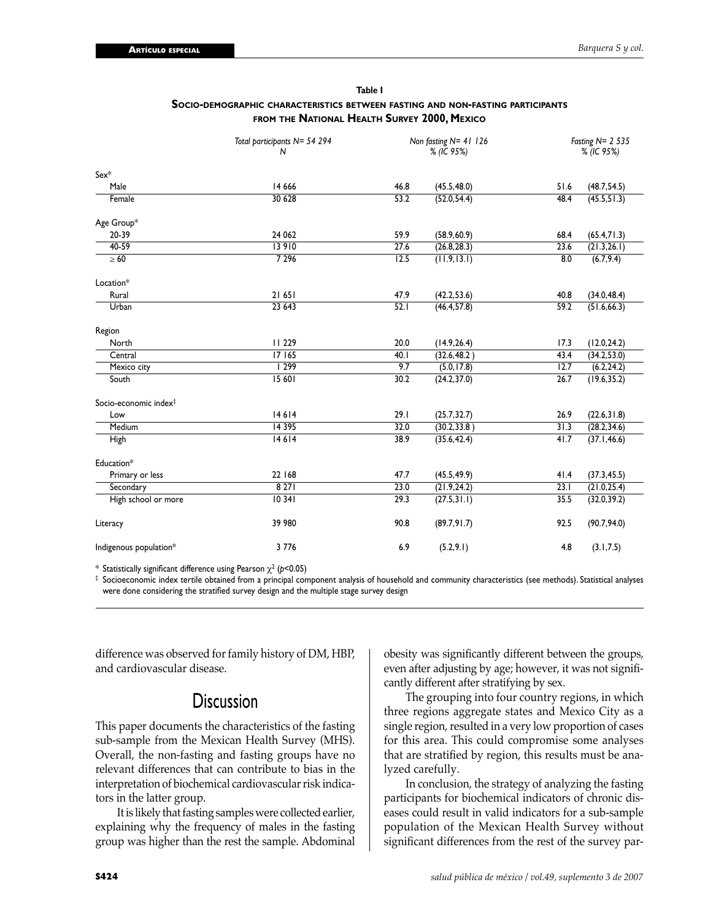|                                   | Total participants N= 54 294<br>N | Non fasting $N = 41$ 126<br>% (IC 95%) |              | Fasting $N = 2$ 535<br>% (IC 95%) |              |
|-----------------------------------|-----------------------------------|----------------------------------------|--------------|-----------------------------------|--------------|
| $Sex*$                            |                                   |                                        |              |                                   |              |
| Male                              | 14 6 66                           | 46.8                                   | (45.5, 48.0) | 51.6                              | (48.7, 54.5) |
| Female                            | 30 628                            | 53.2                                   | (52.0, 54.4) | 48.4                              | (45.5, 51.3) |
| Age Group*                        |                                   |                                        |              |                                   |              |
| 20-39                             | 24 062                            | 59.9                                   | (58.9, 60.9) | 68.4                              | (65.4, 71.3) |
| $40-59$                           | 13 910                            | 27.6                                   | (26.8, 28.3) | 23.6                              | (21.3, 26.1) |
| $\geq 60$                         | 7 2 9 6                           | 12.5                                   | (11.9, 13.1) | 8.0                               | (6.7, 9.4)   |
| Location*                         |                                   |                                        |              |                                   |              |
| Rural                             | 21 651                            | 47.9                                   | (42.2, 53.6) | 40.8                              | (34.0, 48.4) |
| Urban                             | 23 643                            | 52.1                                   | (46.4, 57.8) | 59.2                              | (51.6, 66.3) |
| Region                            |                                   |                                        |              |                                   |              |
| North                             | <b>II</b> 229                     | 20.0                                   | (14.9, 26.4) | 17.3                              | (12.0, 24.2) |
| Central                           | 17165                             | 40.1                                   | (32.6, 48.2) | 43.4                              | (34.2, 53.0) |
| Mexico city                       | 299                               | 9.7                                    | (5.0, 17.8)  | 12.7                              | (6.2, 24.2)  |
| South                             | 15 601                            | 30.2                                   | (24.2, 37.0) | 26.7                              | (19.6, 35.2) |
| Socio-economic index <sup>‡</sup> |                                   |                                        |              |                                   |              |
| Low                               | 14614                             | 29.1                                   | (25.7, 32.7) | 26.9                              | (22.6, 31.8) |
| Medium                            | 14 3 9 5                          | 32.0                                   | (30.2, 33.8) | 31.3                              | (28.2, 34.6) |
| High                              | 14614                             | 38.9                                   | (35.6, 42.4) | 41.7                              | (37.1, 46.6) |
| Education*                        |                                   |                                        |              |                                   |              |
| Primary or less                   | 22 168                            | 47.7                                   | (45.5, 49.9) | 41.4                              | (37.3, 45.5) |
| Secondary                         | 8271                              | 23.0                                   | (21.9, 24.2) | 23.1                              | (21.0, 25.4) |
| High school or more               | 10341                             | 29.3                                   | (27.5, 31.1) | 35.5                              | (32.0, 39.2) |
| Literacy                          | 39 980                            | 90.8                                   | (89.7, 91.7) | 92.5                              | (90.7, 94.0) |
| Indigenous population*            | 3 7 7 6                           | 6.9                                    | (5.2, 9.1)   | 4.8                               | (3.1, 7.5)   |

#### **Table I SOCIO-DEMOGRAPHIC CHARACTERISTICS BETWEEN FASTING AND NON-FASTING PARTICIPANTS FROM THE NATIONAL HEALTH SURVEY 2000, MEXICO**

 $^*$  Statistically significant difference using Pearson  $\chi^2$  (p<0.05)

 $^\ddag$  Socioeconomic index tertile obtained from a principal component analysis of household and community characteristics (see methods). Statistical analyses were done considering the stratified survey design and the multiple stage survey design

difference was observed for family history of DM, HBP, and cardiovascular disease.

# **Discussion**

This paper documents the characteristics of the fasting sub-sample from the Mexican Health Survey (MHS). Overall, the non-fasting and fasting groups have no relevant differences that can contribute to bias in the interpretation of biochemical cardiovascular risk indicators in the latter group.

 It is likely that fasting samples were collected earlier, explaining why the frequency of males in the fasting group was higher than the rest the sample. Abdominal obesity was significantly different between the groups, even after adjusting by age; however, it was not significantly different after stratifying by sex.

 The grouping into four country regions, in which three regions aggregate states and Mexico City as a single region, resulted in a very low proportion of cases for this area. This could compromise some analyses that are stratified by region, this results must be analyzed carefully.

 In conclusion, the strategy of analyzing the fasting participants for biochemical indicators of chronic diseases could result in valid indicators for a sub-sample population of the Mexican Health Survey without significant differences from the rest of the survey par-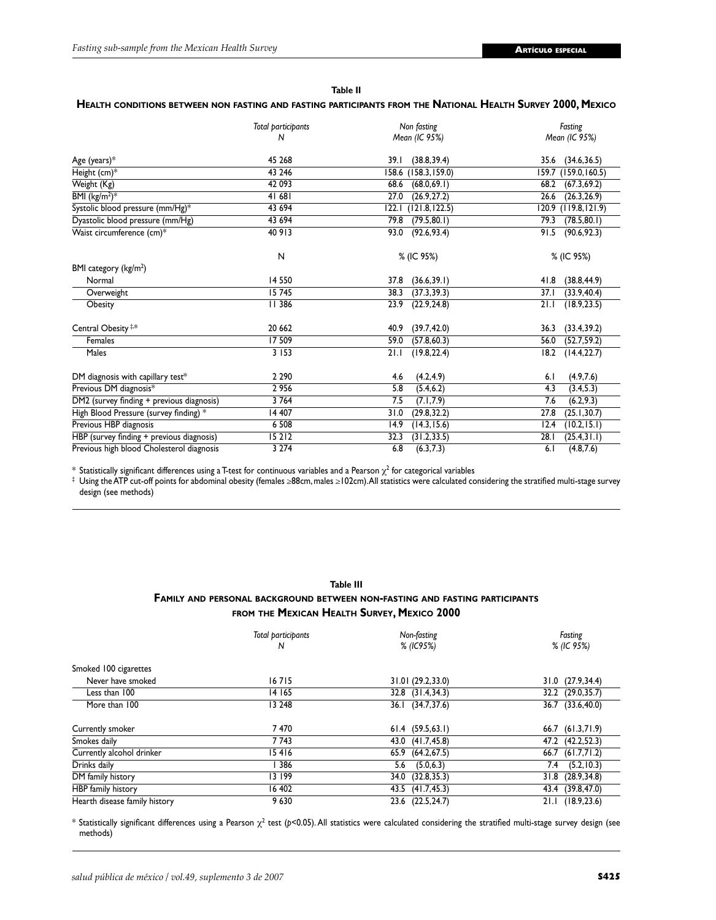| . | $\sim$ |  |
|---|--------|--|

#### **HEALTH CONDITIONS BETWEEN NON FASTING AND FASTING PARTICIPANTS FROM THE NATIONAL HEALTH SURVEY 2000, MEXICO**

|                                           | Total participants<br>N | Non fasting<br>Mean (IC 95%) | Fasting<br>Mean (IC 95%) |
|-------------------------------------------|-------------------------|------------------------------|--------------------------|
|                                           |                         |                              |                          |
| Age (years) $*$                           | 45 268                  | (38.8, 39.4)<br>39. I        | (34.6, 36.5)<br>35.6     |
| Height (cm)*                              | 43 246                  | 158.6 (158.3,159.0)          | (159.0, 160.5)<br>159.7  |
| Weight (Kg)                               | 42 093                  | (68.0, 69.1)<br>68.6         | (67.3, 69.2)<br>68.2     |
| BMI $(kg/m^2)^*$                          | 41 681                  | 27.0<br>(26.9, 27.2)         | (26.3, 26.9)<br>26.6     |
| Systolic blood pressure (mm/Hg)*          | 43 694                  | 122.1<br>(121.8, 122.5)      | (119.8, 121.9)<br>120.9  |
| Dyastolic blood pressure (mm/Hg)          | 43 694                  | 79.8<br>(79.5, 80.1)         | (78.5, 80.1)<br>79.3     |
| Waist circumference (cm)*                 | 40 913                  | 93.0<br>(92.6, 93.4)         | 91.5<br>(90.6, 92.3)     |
|                                           | N                       | % (IC 95%)                   | % (IC 95%)               |
| BMI category (kg/m <sup>2</sup> )         |                         |                              |                          |
| Normal                                    | 14 5 50                 | 37.8<br>(36.6, 39.1)         | (38.8, 44.9)<br>41.8     |
| Overweight                                | 15745                   | (37.3, 39.3)<br>38.3         | (33.9, 40.4)<br>37.1     |
| Obesity                                   | 11 386                  | 23.9<br>(22.9, 24.8)         | (18.9, 23.5)<br>21.1     |
| Central Obesity <sup>#*</sup>             | 20 662                  | 40.9<br>(39.7, 42.0)         | (33.4, 39.2)<br>36.3     |
| Females                                   | 17 509                  | 59.0<br>(57.8, 60.3)         | (52.7, 59.2)<br>56.0     |
| Males                                     | 3 1 5 3                 | 21.1<br>(19.8, 22.4)         | (14.4, 22.7)<br>18.2     |
| DM diagnosis with capillary test*         | 2 2 9 0                 | (4.2, 4.9)<br>4.6            | (4.9, 7.6)<br>6.1        |
| Previous DM diagnosis*                    | 2956                    | 5.8<br>(5.4, 6.2)            | 4.3<br>(3.4, 5.3)        |
| DM2 (survey finding + previous diagnosis) | 3764                    | 7.5<br>(7.1, 7.9)            | (6.2, 9.3)<br>7.6        |
| High Blood Pressure (survey finding) *    | 14 407                  | 31.0<br>(29.8, 32.2)         | (25.1, 30.7)<br>27.8     |
| Previous HBP diagnosis                    | 6 5 0 8                 | (14.3, 15.6)<br>14.9         | (10.2, 15.1)<br>12.4     |
| HBP (survey finding + previous diagnosis) | 15212                   | 32.3<br>(31.2, 33.5)         | 28.1<br>(25.4, 31.1)     |
| Previous high blood Cholesterol diagnosis | 3 2 7 4                 | 6.8<br>(6.3, 7.3)            | (4.8, 7.6)<br>6.1        |

 $*$  Statistically significant differences using a T-test for continuous variables and a Pearson  $\chi^2$  for categorical variables

‡ Using the ATP cut-off points for abdominal obesity (females ≥88cm, males ≥102cm). All statistics were calculated considering the stratified multi-stage survey design (see methods)

# **Table III FAMILY AND PERSONAL BACKGROUND BETWEEN NON-FASTING AND FASTING PARTICIPANTS FROM THE MEXICAN HEALTH SURVEY, MEXICO 2000**

|                               | Total participants<br>N | Non-fasting<br>% (IC95%) | Fasting<br>% (IC 95%) |  |
|-------------------------------|-------------------------|--------------------------|-----------------------|--|
| Smoked 100 cigarettes         |                         |                          |                       |  |
| Never have smoked             | 16715                   | 31.01 (29.2,33.0)        | 31.0 (27.9,34.4)      |  |
| Less than 100                 | 14 165                  | 32.8 (31.4,34.3)         | 32.2 (29.0,35.7)      |  |
| More than 100                 | 13 248                  | 36.1 (34.7,37.6)         | 36.7 (33.6,40.0)      |  |
| Currently smoker              | 7470                    | $61.4$ $(59.5,63.1)$     | 66.7 (61.3,71.9)      |  |
| Smokes daily                  | 7743                    | 43.0 (41.7,45.8)         | 47.2 (42.2,52.3)      |  |
| Currently alcohol drinker     | 15416                   | 65.9 (64.2,67.5)         | $66.7$ $(61.7,71.2)$  |  |
| Drinks daily                  | 386                     | (5.0, 6.3)<br>5.6        | (5.2, 10.3)<br>7.4    |  |
| DM family history             | 13 199                  | (32.8, 35.3)<br>34.0     | 31.8 (28.9,34.8)      |  |
| HBP family history            | 16 402                  | 43.5 (41.7,45.3)         | 43.4 (39.8,47.0)      |  |
| Hearth disease family history | 9630                    | 23.6 (22.5,24.7)         | 21.1 (18.9,23.6)      |  |

 $^*$  Statistically significant differences using a Pearson  $\chi^2$  test (p<0.05). All statistics were calculated considering the stratified multi-stage survey design (see methods)